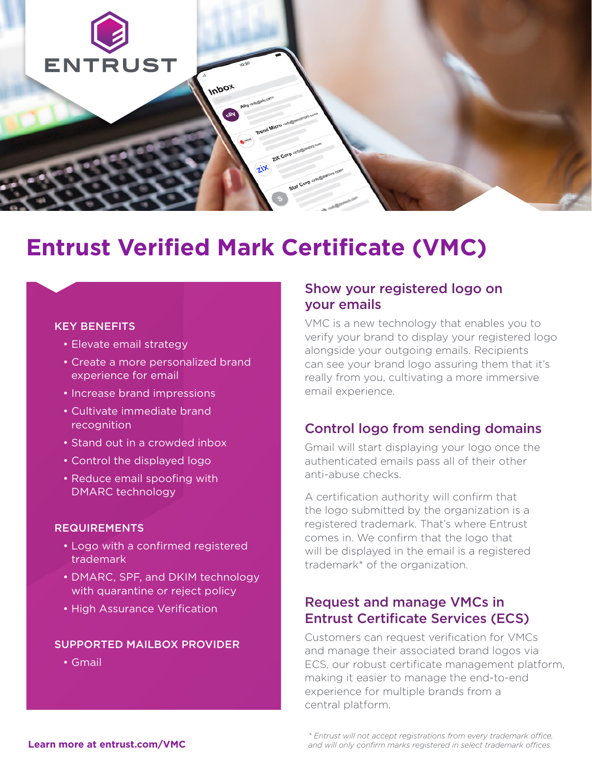

# **Entrust Verified Mark Certificate (VMC)**

#### KEY BENEFITS

- Elevate email strategy
- Create a more personalized brand experience for email
- Increase brand impressions
- Cultivate immediate brand recognition
- Stand out in a crowded inbox
- Control the displayed logo
- Reduce email spoofing with DMARC technology

#### **REQUIREMENTS**

- Logo with a confirmed registered trademark
- DMARC, SPF, and DKIM technology with quarantine or reject policy
- High Assurance Verification

#### SUPPORTED MAILBOX PROVIDER

• Gmail

# Show your registered logo on your emails

VMC is a new technology that enables you to verify your brand to display your registered logo alongside your outgoing emails. Recipients can see your brand logo assuring them that it's really from you, cultivating a more immersive email experience.

## Control logo from sending domains

Gmail will start displaying your logo once the authenticated emails pass all of their other anti-abuse checks.

A certification authority will confirm that the logo submitted by the organization is a registered trademark. That's where Entrust comes in. We confirm that the logo that will be displayed in the email is a registered trademark\* of the organization.

# Request and manage VMCs in Entrust Certificate Services (ECS)

Customers can request verification for VMCs and manage their associated brand logos via ECS, our robust certificate management platform, making it easier to manage the end-to-end experience for multiple brands from a central platform.

*\* Entrust will not accept registrations from every trademark office, and will only confirm marks registered in select trademark offices.*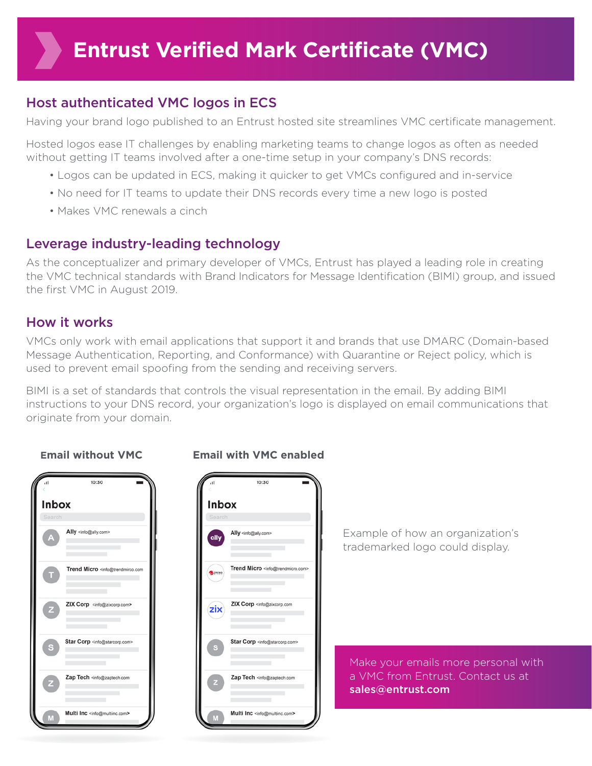# Host authenticated VMC logos in ECS

Having your brand logo published to an Entrust hosted site streamlines VMC certificate management.

Hosted logos ease IT challenges by enabling marketing teams to change logos as often as needed without getting IT teams involved after a one-time setup in your company's DNS records:

- Logos can be updated in ECS, making it quicker to get VMCs configured and in-service
- No need for IT teams to update their DNS records every time a new logo is posted
- Makes VMC renewals a cinch

# Leverage industry-leading technology

As the conceptualizer and primary developer of VMCs, Entrust has played a leading role in creating the VMC technical standards with Brand Indicators for Message Identification (BIMI) group, and issued the first VMC in August 2019.

# How it works

VMCs only work with email applications that support it and brands that use DMARC (Domain-based Message Authentication, Reporting, and Conformance) with Quarantine or Reject policy, which is used to prevent email spoofing from the sending and receiving servers.

BIMI is a set of standards that controls the visual representation in the email. By adding BIMI instructions to your DNS record, your organization's logo is displayed on email communications that originate from your domain.

| ı۱.          | 10:30                                                           |
|--------------|-----------------------------------------------------------------|
| <b>Inbox</b> |                                                                 |
| Search       |                                                                 |
|              | Ally <info@ally.com></info@ally.com>                            |
|              | Trend Micro <info@trendmirco.com< td=""></info@trendmirco.com<> |
| z            | ZIX Corp <info@zixcorp.com></info@zixcorp.com>                  |
| Ξ            | Star Corp <info@starcorp.com></info@starcorp.com>               |
|              | Zap Tech <info@zaptech.com< td=""></info@zaptech.com<>          |
|              | Multi Inc <info@multiinc.com></info@multiinc.com>               |

### **Email without VMC Email with VMC enabled**



Example of how an organization's trademarked logo could display.

Make your emails more personal with a VMC from Entrust. Contact us at [sales@entrust.com](mailto:sales%40entrust.com?subject=VMC%20pre-check)